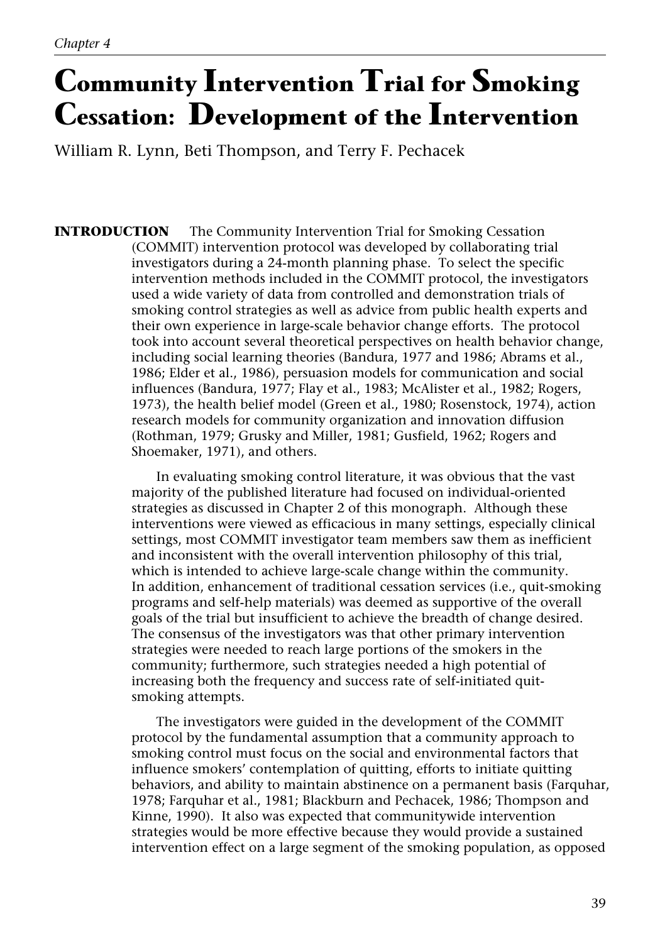## **Community Intervention Trial for Smoking Cessation: Development of the Intervention**

William R. Lynn, Beti Thompson, and Terry F. Pechacek

**INTRODUCTION** The Community Intervention Trial for Smoking Cessation (COMMIT) intervention protocol was developed by collaborating trial investigators during a 24-month planning phase. To select the specific intervention methods included in the COMMIT protocol, the investigators used a wide variety of data from controlled and demonstration trials of smoking control strategies as well as advice from public health experts and their own experience in large-scale behavior change efforts. The protocol took into account several theoretical perspectives on health behavior change, including social learning theories (Bandura, 1977 and 1986; Abrams et al., 1986; Elder et al., 1986), persuasion models for communication and social influences (Bandura, 1977; Flay et al., 1983; McAlister et al., 1982; Rogers, 1973), the health belief model (Green et al., 1980; Rosenstock, 1974), action research models for community organization and innovation diffusion (Rothman, 1979; Grusky and Miller, 1981; Gusfield, 1962; Rogers and Shoemaker, 1971), and others.

> In evaluating smoking control literature, it was obvious that the vast majority of the published literature had focused on individual-oriented strategies as discussed in Chapter 2 of this monograph. Although these interventions were viewed as efficacious in many settings, especially clinical settings, most COMMIT investigator team members saw them as inefficient and inconsistent with the overall intervention philosophy of this trial, which is intended to achieve large-scale change within the community. In addition, enhancement of traditional cessation services (i.e., quit-smoking programs and self-help materials) was deemed as supportive of the overall goals of the trial but insufficient to achieve the breadth of change desired. The consensus of the investigators was that other primary intervention strategies were needed to reach large portions of the smokers in the community; furthermore, such strategies needed a high potential of increasing both the frequency and success rate of self-initiated quitsmoking attempts.

The investigators were guided in the development of the COMMIT protocol by the fundamental assumption that a community approach to smoking control must focus on the social and environmental factors that influence smokers' contemplation of quitting, efforts to initiate quitting behaviors, and ability to maintain abstinence on a permanent basis (Farquhar, 1978; Farquhar et al., 1981; Blackburn and Pechacek, 1986; Thompson and Kinne, 1990). It also was expected that communitywide intervention strategies would be more effective because they would provide a sustained intervention effect on a large segment of the smoking population, as opposed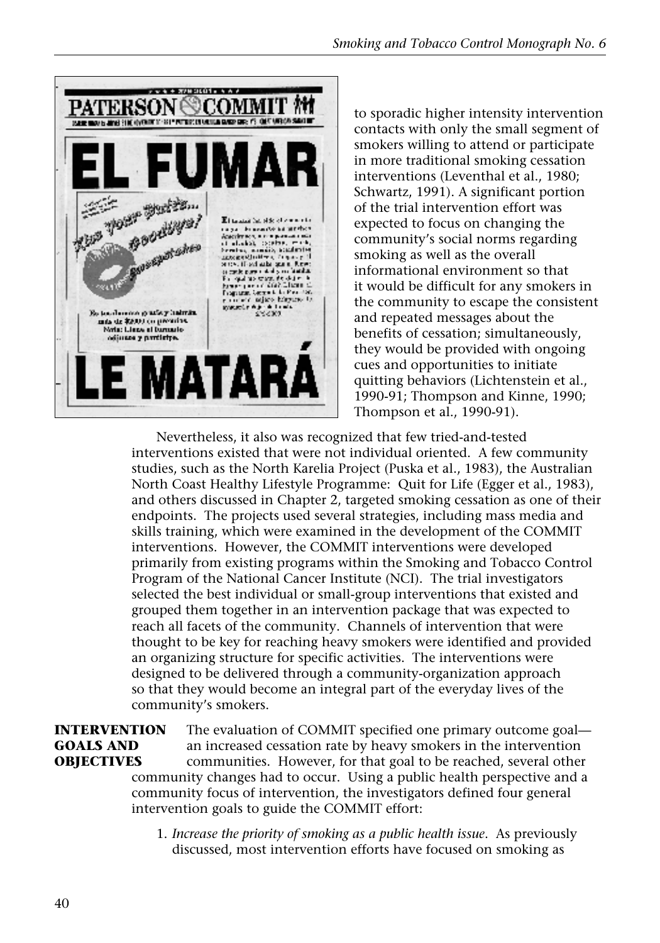

to sporadic higher intensity intervention contacts with only the small segment of smokers willing to attend or participate in more traditional smoking cessation interventions (Leventhal et al., 1980; Schwartz, 1991). A significant portion of the trial intervention effort was expected to focus on changing the community's social norms regarding smoking as well as the overall informational environment so that it would be difficult for any smokers in the community to escape the consistent and repeated messages about the benefits of cessation; simultaneously, they would be provided with ongoing cues and opportunities to initiate quitting behaviors (Lichtenstein et al., 1990-91; Thompson and Kinne, 1990; Thompson et al., 1990-91).

Nevertheless, it also was recognized that few tried-and-tested interventions existed that were not individual oriented. A few community studies, such as the North Karelia Project (Puska et al., 1983), the Australian North Coast Healthy Lifestyle Programme: Quit for Life (Egger et al., 1983), and others discussed in Chapter 2, targeted smoking cessation as one of their endpoints. The projects used several strategies, including mass media and skills training, which were examined in the development of the COMMIT interventions. However, the COMMIT interventions were developed primarily from existing programs within the Smoking and Tobacco Control Program of the National Cancer Institute (NCI). The trial investigators selected the best individual or small-group interventions that existed and grouped them together in an intervention package that was expected to reach all facets of the community. Channels of intervention that were thought to be key for reaching heavy smokers were identified and provided an organizing structure for specific activities. The interventions were designed to be delivered through a community-organization approach so that they would become an integral part of the everyday lives of the community's smokers.

**INTERVENTION** The evaluation of COMMIT specified one primary outcome goal— **GOALS AND** an increased cessation rate by heavy smokers in the intervention **OBJECTIVES** communities. However, for that goal to be reached, several other community changes had to occur. Using a public health perspective and a community focus of intervention, the investigators defined four general intervention goals to guide the COMMIT effort:

> 1. *Increase the priority of smoking as a public health issue*. As previously discussed, most intervention efforts have focused on smoking as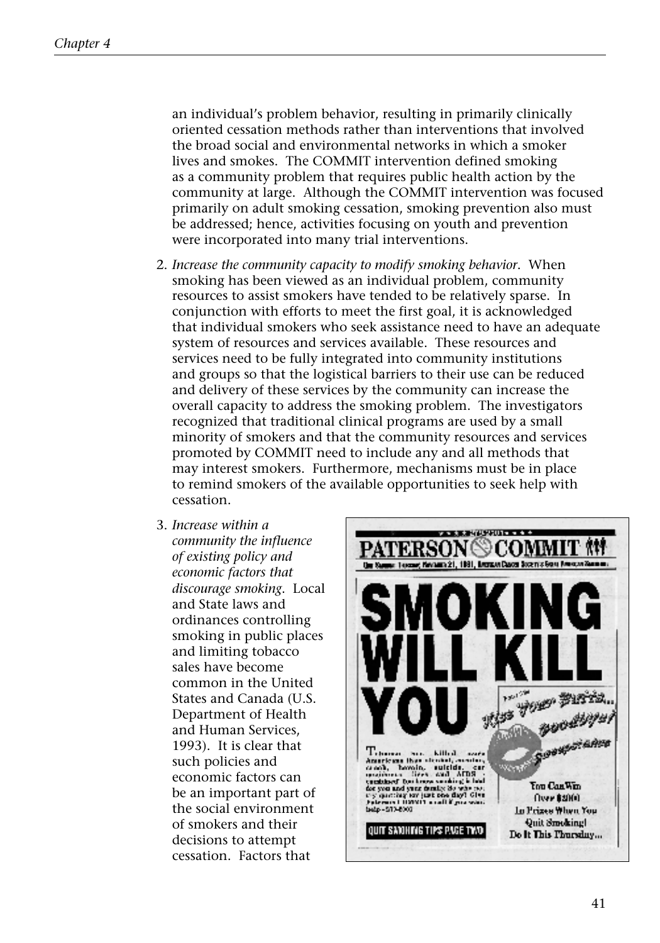an individual's problem behavior, resulting in primarily clinically oriented cessation methods rather than interventions that involved the broad social and environmental networks in which a smoker lives and smokes. The COMMIT intervention defined smoking as a community problem that requires public health action by the community at large. Although the COMMIT intervention was focused primarily on adult smoking cessation, smoking prevention also must be addressed; hence, activities focusing on youth and prevention were incorporated into many trial interventions.

- 2. *Increase the community capacity to modify smoking behavior*. When smoking has been viewed as an individual problem, community resources to assist smokers have tended to be relatively sparse. In conjunction with efforts to meet the first goal, it is acknowledged that individual smokers who seek assistance need to have an adequate system of resources and services available. These resources and services need to be fully integrated into community institutions and groups so that the logistical barriers to their use can be reduced and delivery of these services by the community can increase the overall capacity to address the smoking problem. The investigators recognized that traditional clinical programs are used by a small minority of smokers and that the community resources and services promoted by COMMIT need to include any and all methods that may interest smokers. Furthermore, mechanisms must be in place to remind smokers of the available opportunities to seek help with cessation.
- 3. *Increase within a community the influence of existing policy and economic factors that discourage smoking*. Local and State laws and ordinances controlling smoking in public places and limiting tobacco sales have become common in the United States and Canada (U.S. Department of Health and Human Services, 1993). It is clear that such policies and economic factors can be an important part of the social environment of smokers and their decisions to attempt cessation. Factors that

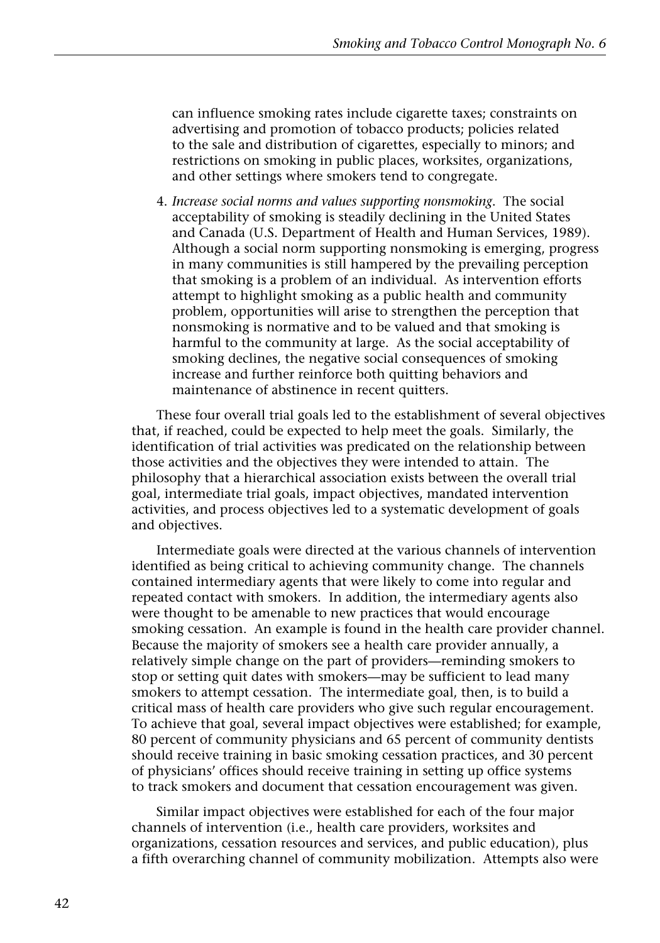can influence smoking rates include cigarette taxes; constraints on advertising and promotion of tobacco products; policies related to the sale and distribution of cigarettes, especially to minors; and restrictions on smoking in public places, worksites, organizations, and other settings where smokers tend to congregate.

4. *Increase social norms and values supporting nonsmoking*. The social acceptability of smoking is steadily declining in the United States and Canada (U.S. Department of Health and Human Services, 1989). Although a social norm supporting nonsmoking is emerging, progress in many communities is still hampered by the prevailing perception that smoking is a problem of an individual. As intervention efforts attempt to highlight smoking as a public health and community problem, opportunities will arise to strengthen the perception that nonsmoking is normative and to be valued and that smoking is harmful to the community at large. As the social acceptability of smoking declines, the negative social consequences of smoking increase and further reinforce both quitting behaviors and maintenance of abstinence in recent quitters.

These four overall trial goals led to the establishment of several objectives that, if reached, could be expected to help meet the goals. Similarly, the identification of trial activities was predicated on the relationship between those activities and the objectives they were intended to attain. The philosophy that a hierarchical association exists between the overall trial goal, intermediate trial goals, impact objectives, mandated intervention activities, and process objectives led to a systematic development of goals and objectives.

Intermediate goals were directed at the various channels of intervention identified as being critical to achieving community change. The channels contained intermediary agents that were likely to come into regular and repeated contact with smokers. In addition, the intermediary agents also were thought to be amenable to new practices that would encourage smoking cessation. An example is found in the health care provider channel. Because the majority of smokers see a health care provider annually, a relatively simple change on the part of providers—reminding smokers to stop or setting quit dates with smokers—may be sufficient to lead many smokers to attempt cessation. The intermediate goal, then, is to build a critical mass of health care providers who give such regular encouragement. To achieve that goal, several impact objectives were established; for example, 80 percent of community physicians and 65 percent of community dentists should receive training in basic smoking cessation practices, and 30 percent of physicians' offices should receive training in setting up office systems to track smokers and document that cessation encouragement was given.

Similar impact objectives were established for each of the four major channels of intervention (i.e., health care providers, worksites and organizations, cessation resources and services, and public education), plus a fifth overarching channel of community mobilization. Attempts also were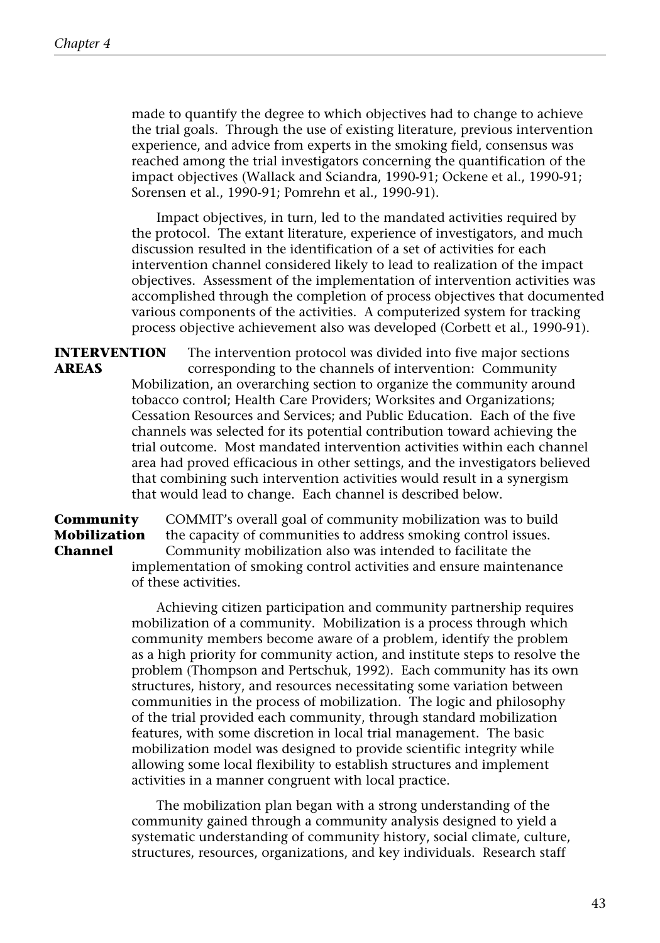made to quantify the degree to which objectives had to change to achieve the trial goals. Through the use of existing literature, previous intervention experience, and advice from experts in the smoking field, consensus was reached among the trial investigators concerning the quantification of the impact objectives (Wallack and Sciandra, 1990-91; Ockene et al., 1990-91; Sorensen et al., 1990-91; Pomrehn et al., 1990-91).

Impact objectives, in turn, led to the mandated activities required by the protocol. The extant literature, experience of investigators, and much discussion resulted in the identification of a set of activities for each intervention channel considered likely to lead to realization of the impact objectives. Assessment of the implementation of intervention activities was accomplished through the completion of process objectives that documented various components of the activities. A computerized system for tracking process objective achievement also was developed (Corbett et al., 1990-91).

**INTERVENTION** The intervention protocol was divided into five major sections **AREAS** corresponding to the channels of intervention: Community Mobilization, an overarching section to organize the community around tobacco control; Health Care Providers; Worksites and Organizations; Cessation Resources and Services; and Public Education. Each of the five channels was selected for its potential contribution toward achieving the trial outcome. Most mandated intervention activities within each channel area had proved efficacious in other settings, and the investigators believed that combining such intervention activities would result in a synergism that would lead to change. Each channel is described below.

**Community** COMMIT's overall goal of community mobilization was to build **Mobilization** the capacity of communities to address smoking control issues. **Channel** Community mobilization also was intended to facilitate the implementation of smoking control activities and ensure maintenance of these activities.

> Achieving citizen participation and community partnership requires mobilization of a community. Mobilization is a process through which community members become aware of a problem, identify the problem as a high priority for community action, and institute steps to resolve the problem (Thompson and Pertschuk, 1992). Each community has its own structures, history, and resources necessitating some variation between communities in the process of mobilization. The logic and philosophy of the trial provided each community, through standard mobilization features, with some discretion in local trial management. The basic mobilization model was designed to provide scientific integrity while allowing some local flexibility to establish structures and implement activities in a manner congruent with local practice.

The mobilization plan began with a strong understanding of the community gained through a community analysis designed to yield a systematic understanding of community history, social climate, culture, structures, resources, organizations, and key individuals. Research staff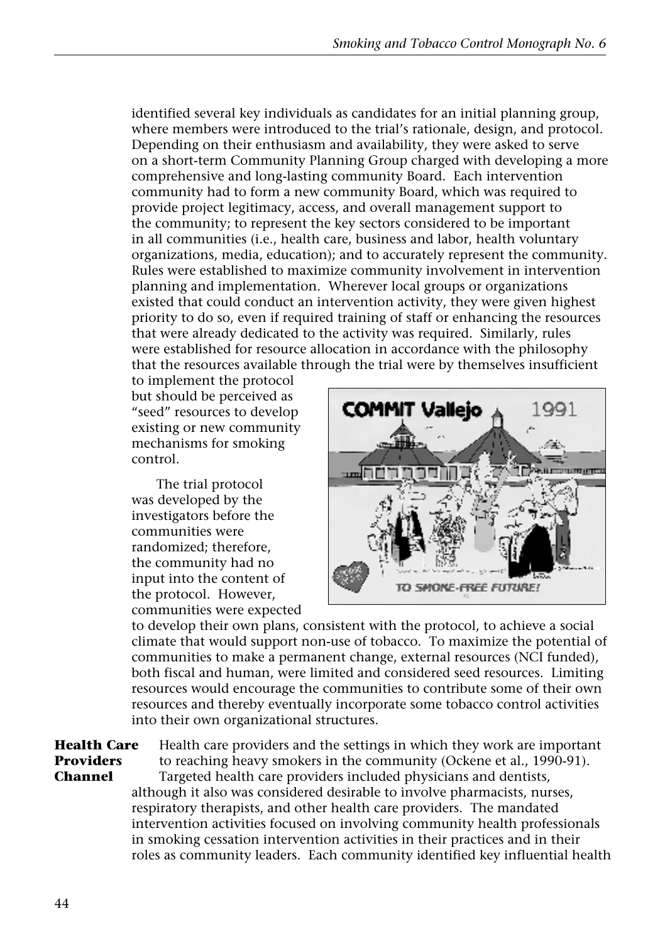identified several key individuals as candidates for an initial planning group, where members were introduced to the trial's rationale, design, and protocol. Depending on their enthusiasm and availability, they were asked to serve on a short-term Community Planning Group charged with developing a more comprehensive and long-lasting community Board. Each intervention community had to form a new community Board, which was required to provide project legitimacy, access, and overall management support to the community; to represent the key sectors considered to be important in all communities (i.e., health care, business and labor, health voluntary organizations, media, education); and to accurately represent the community. Rules were established to maximize community involvement in intervention planning and implementation. Wherever local groups or organizations existed that could conduct an intervention activity, they were given highest priority to do so, even if required training of staff or enhancing the resources that were already dedicated to the activity was required. Similarly, rules were established for resource allocation in accordance with the philosophy that the resources available through the trial were by themselves insufficient

to implement the protocol but should be perceived as "seed" resources to develop existing or new community mechanisms for smoking control.

The trial protocol was developed by the investigators before the communities were randomized; therefore, the community had no input into the content of the protocol. However, communities were expected



to develop their own plans, consistent with the protocol, to achieve a social climate that would support non-use of tobacco. To maximize the potential of communities to make a permanent change, external resources (NCI funded), both fiscal and human, were limited and considered seed resources. Limiting resources would encourage the communities to contribute some of their own resources and thereby eventually incorporate some tobacco control activities into their own organizational structures.

**Health Care** Health care providers and the settings in which they work are important **Providers** to reaching heavy smokers in the community (Ockene et al., 1990-91). **Channel** Targeted health care providers included physicians and dentists, although it also was considered desirable to involve pharmacists, nurses, respiratory therapists, and other health care providers. The mandated intervention activities focused on involving community health professionals in smoking cessation intervention activities in their practices and in their roles as community leaders. Each community identified key influential health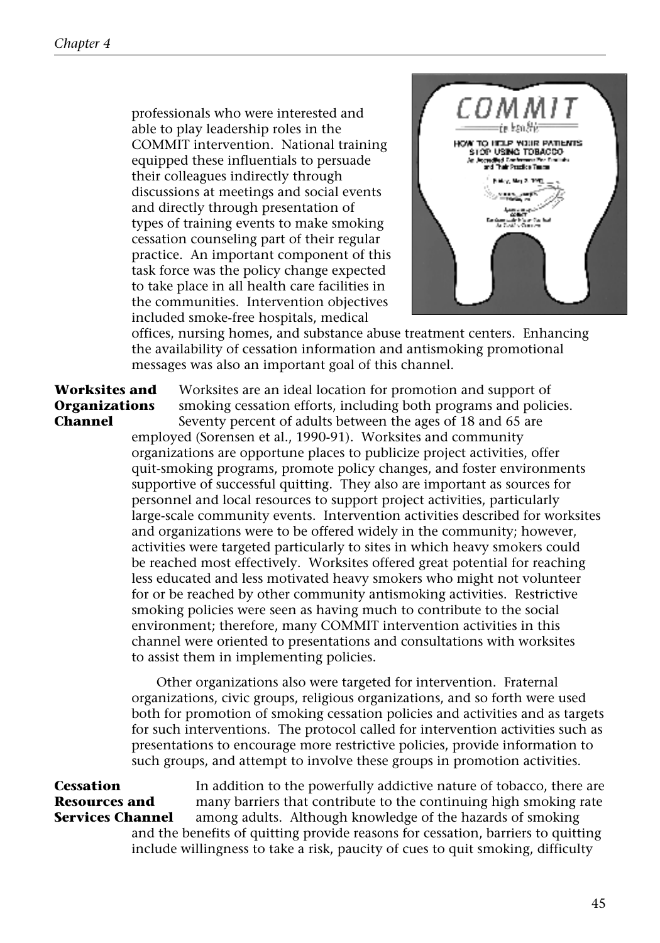professionals who were interested and able to play leadership roles in the COMMIT intervention. National training equipped these influentials to persuade their colleagues indirectly through discussions at meetings and social events and directly through presentation of types of training events to make smoking cessation counseling part of their regular practice. An important component of this task force was the policy change expected to take place in all health care facilities in the communities. Intervention objectives included smoke-free hospitals, medical



offices, nursing homes, and substance abuse treatment centers. Enhancing the availability of cessation information and antismoking promotional messages was also an important goal of this channel.

**Worksites and** Worksites are an ideal location for promotion and support of **Organizations** smoking cessation efforts, including both programs and policies. **Channel** Seventy percent of adults between the ages of 18 and 65 are employed (Sorensen et al., 1990-91). Worksites and community organizations are opportune places to publicize project activities, offer quit-smoking programs, promote policy changes, and foster environments supportive of successful quitting. They also are important as sources for personnel and local resources to support project activities, particularly large-scale community events. Intervention activities described for worksites and organizations were to be offered widely in the community; however, activities were targeted particularly to sites in which heavy smokers could be reached most effectively. Worksites offered great potential for reaching less educated and less motivated heavy smokers who might not volunteer for or be reached by other community antismoking activities. Restrictive smoking policies were seen as having much to contribute to the social environment; therefore, many COMMIT intervention activities in this channel were oriented to presentations and consultations with worksites to assist them in implementing policies.

> Other organizations also were targeted for intervention. Fraternal organizations, civic groups, religious organizations, and so forth were used both for promotion of smoking cessation policies and activities and as targets for such interventions. The protocol called for intervention activities such as presentations to encourage more restrictive policies, provide information to such groups, and attempt to involve these groups in promotion activities.

**Cessation** In addition to the powerfully addictive nature of tobacco, there are **Resources and** many barriers that contribute to the continuing high smoking rate **Services Channel** among adults. Although knowledge of the hazards of smoking and the benefits of quitting provide reasons for cessation, barriers to quitting include willingness to take a risk, paucity of cues to quit smoking, difficulty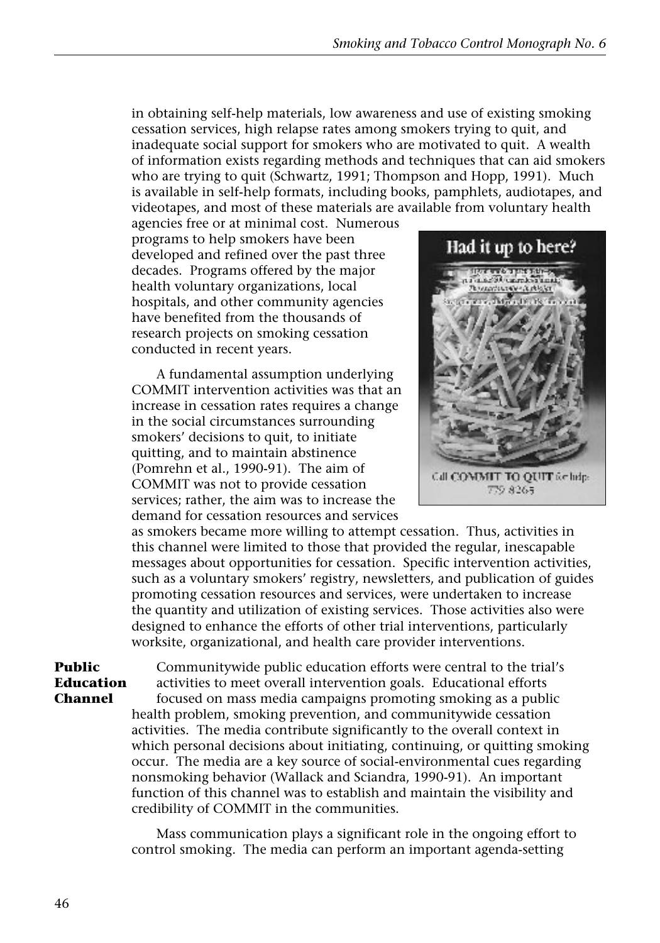in obtaining self-help materials, low awareness and use of existing smoking cessation services, high relapse rates among smokers trying to quit, and inadequate social support for smokers who are motivated to quit. A wealth of information exists regarding methods and techniques that can aid smokers who are trying to quit (Schwartz, 1991; Thompson and Hopp, 1991). Much is available in self-help formats, including books, pamphlets, audiotapes, and videotapes, and most of these materials are available from voluntary health

agencies free or at minimal cost. Numerous programs to help smokers have been developed and refined over the past three decades. Programs offered by the major health voluntary organizations, local hospitals, and other community agencies have benefited from the thousands of research projects on smoking cessation conducted in recent years.

A fundamental assumption underlying COMMIT intervention activities was that an increase in cessation rates requires a change in the social circumstances surrounding smokers' decisions to quit, to initiate quitting, and to maintain abstinence (Pomrehn et al., 1990-91). The aim of COMMIT was not to provide cessation services; rather, the aim was to increase the demand for cessation resources and services



as smokers became more willing to attempt cessation. Thus, activities in this channel were limited to those that provided the regular, inescapable messages about opportunities for cessation. Specific intervention activities, such as a voluntary smokers' registry, newsletters, and publication of guides promoting cessation resources and services, were undertaken to increase the quantity and utilization of existing services. Those activities also were designed to enhance the efforts of other trial interventions, particularly worksite, organizational, and health care provider interventions.

**Public** Communitywide public education efforts were central to the trial's **Education** activities to meet overall intervention goals. Educational efforts **Channel** focused on mass media campaigns promoting smoking as a public health problem, smoking prevention, and communitywide cessation activities. The media contribute significantly to the overall context in which personal decisions about initiating, continuing, or quitting smoking occur. The media are a key source of social-environmental cues regarding nonsmoking behavior (Wallack and Sciandra, 1990-91). An important function of this channel was to establish and maintain the visibility and credibility of COMMIT in the communities.

> Mass communication plays a significant role in the ongoing effort to control smoking. The media can perform an important agenda-setting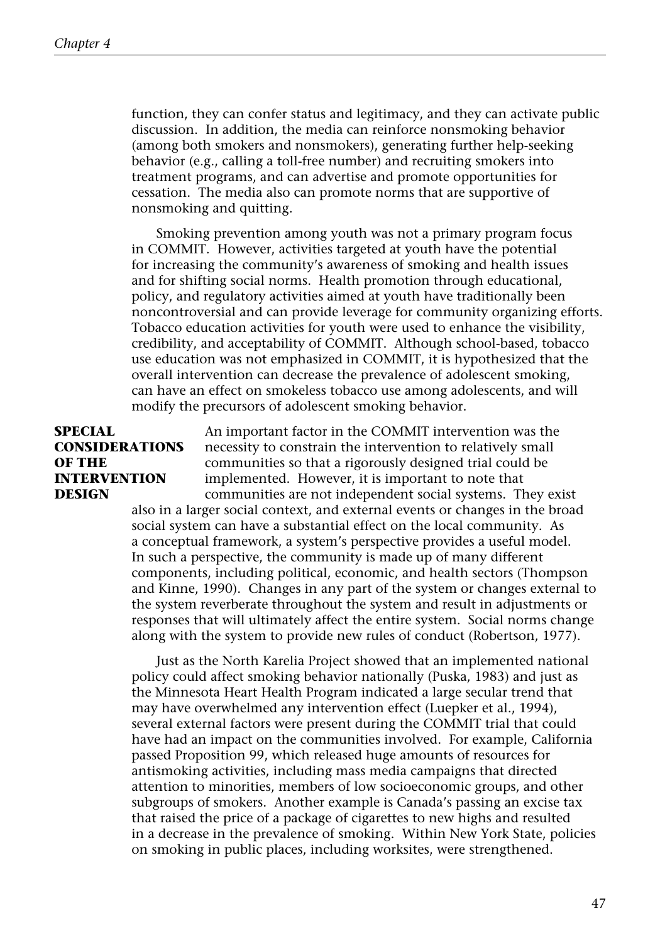function, they can confer status and legitimacy, and they can activate public discussion. In addition, the media can reinforce nonsmoking behavior (among both smokers and nonsmokers), generating further help-seeking behavior (e.g., calling a toll-free number) and recruiting smokers into treatment programs, and can advertise and promote opportunities for cessation. The media also can promote norms that are supportive of nonsmoking and quitting.

Smoking prevention among youth was not a primary program focus in COMMIT. However, activities targeted at youth have the potential for increasing the community's awareness of smoking and health issues and for shifting social norms. Health promotion through educational, policy, and regulatory activities aimed at youth have traditionally been noncontroversial and can provide leverage for community organizing efforts. Tobacco education activities for youth were used to enhance the visibility, credibility, and acceptability of COMMIT. Although school-based, tobacco use education was not emphasized in COMMIT, it is hypothesized that the overall intervention can decrease the prevalence of adolescent smoking, can have an effect on smokeless tobacco use among adolescents, and will modify the precursors of adolescent smoking behavior.

**SPECIAL** An important factor in the COMMIT intervention was the **CONSIDERATIONS** necessity to constrain the intervention to relatively small **OF THE** communities so that a rigorously designed trial could be **INTERVENTION** implemented. However, it is important to note that **DESIGN** communities are not independent social systems. They exist

also in a larger social context, and external events or changes in the broad social system can have a substantial effect on the local community. As a conceptual framework, a system's perspective provides a useful model. In such a perspective, the community is made up of many different components, including political, economic, and health sectors (Thompson and Kinne, 1990). Changes in any part of the system or changes external to the system reverberate throughout the system and result in adjustments or responses that will ultimately affect the entire system. Social norms change along with the system to provide new rules of conduct (Robertson, 1977).

Just as the North Karelia Project showed that an implemented national policy could affect smoking behavior nationally (Puska, 1983) and just as the Minnesota Heart Health Program indicated a large secular trend that may have overwhelmed any intervention effect (Luepker et al., 1994), several external factors were present during the COMMIT trial that could have had an impact on the communities involved. For example, California passed Proposition 99, which released huge amounts of resources for antismoking activities, including mass media campaigns that directed attention to minorities, members of low socioeconomic groups, and other subgroups of smokers. Another example is Canada's passing an excise tax that raised the price of a package of cigarettes to new highs and resulted in a decrease in the prevalence of smoking. Within New York State, policies on smoking in public places, including worksites, were strengthened.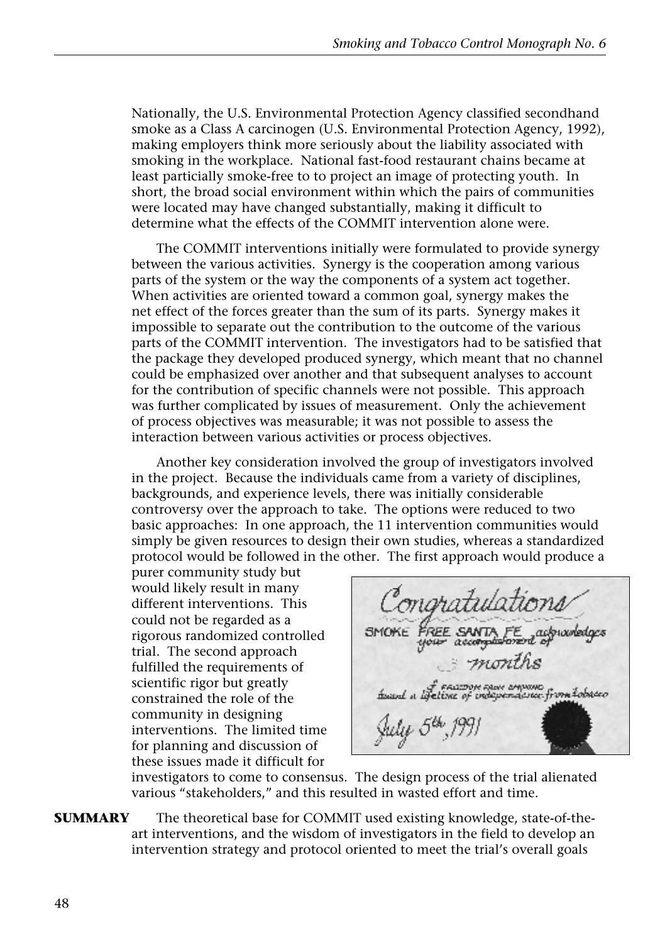Nationally, the U.S. Environmental Protection Agency classified secondhand smoke as a Class A carcinogen (U.S. Environmental Protection Agency, 1992), making employers think more seriously about the liability associated with smoking in the workplace. National fast-food restaurant chains became at least particially smoke-free to to project an image of protecting youth. In short, the broad social environment within which the pairs of communities were located may have changed substantially, making it difficult to determine what the effects of the COMMIT intervention alone were.

The COMMIT interventions initially were formulated to provide synergy between the various activities. Synergy is the cooperation among various parts of the system or the way the components of a system act together. When activities are oriented toward a common goal, synergy makes the net effect of the forces greater than the sum of its parts. Synergy makes it impossible to separate out the contribution to the outcome of the various parts of the COMMIT intervention. The investigators had to be satisfied that the package they developed produced synergy, which meant that no channel could be emphasized over another and that subsequent analyses to account for the contribution of specific channels were not possible. This approach was further complicated by issues of measurement. Only the achievement of process objectives was measurable; it was not possible to assess the interaction between various activities or process objectives.

Another key consideration involved the group of investigators involved in the project. Because the individuals came from a variety of disciplines, backgrounds, and experience levels, there was initially considerable controversy over the approach to take. The options were reduced to two basic approaches: In one approach, the 11 intervention communities would simply be given resources to design their own studies, whereas a standardized protocol would be followed in the other. The first approach would produce a

purer community study but would likely result in many different interventions. This could not be regarded as a rigorous randomized controlled trial. The second approach fulfilled the requirements of scientific rigor but greatly constrained the role of the community in designing interventions. The limited time for planning and discussion of these issues made it difficult for

Congrat FREE SANTA FE actourdedges SMOKE accomp  $=$  months mund a liteling of vedependence; from#obseco July 5th, 1991

investigators to come to consensus. The design process of the trial alienated various "stakeholders," and this resulted in wasted effort and time.

**SUMMARY** The theoretical base for COMMIT used existing knowledge, state-of-theart interventions, and the wisdom of investigators in the field to develop an intervention strategy and protocol oriented to meet the trial's overall goals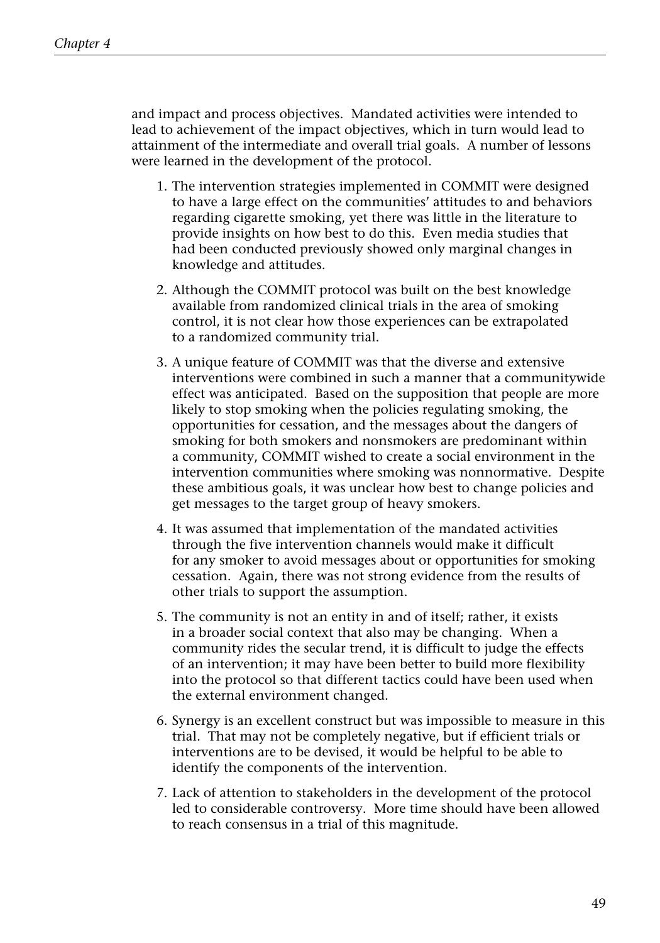and impact and process objectives. Mandated activities were intended to lead to achievement of the impact objectives, which in turn would lead to attainment of the intermediate and overall trial goals. A number of lessons were learned in the development of the protocol.

- 1. The intervention strategies implemented in COMMIT were designed to have a large effect on the communities' attitudes to and behaviors regarding cigarette smoking, yet there was little in the literature to provide insights on how best to do this. Even media studies that had been conducted previously showed only marginal changes in knowledge and attitudes.
- 2. Although the COMMIT protocol was built on the best knowledge available from randomized clinical trials in the area of smoking control, it is not clear how those experiences can be extrapolated to a randomized community trial.
- 3. A unique feature of COMMIT was that the diverse and extensive interventions were combined in such a manner that a communitywide effect was anticipated. Based on the supposition that people are more likely to stop smoking when the policies regulating smoking, the opportunities for cessation, and the messages about the dangers of smoking for both smokers and nonsmokers are predominant within a community, COMMIT wished to create a social environment in the intervention communities where smoking was nonnormative. Despite these ambitious goals, it was unclear how best to change policies and get messages to the target group of heavy smokers.
- 4. It was assumed that implementation of the mandated activities through the five intervention channels would make it difficult for any smoker to avoid messages about or opportunities for smoking cessation. Again, there was not strong evidence from the results of other trials to support the assumption.
- 5. The community is not an entity in and of itself; rather, it exists in a broader social context that also may be changing. When a community rides the secular trend, it is difficult to judge the effects of an intervention; it may have been better to build more flexibility into the protocol so that different tactics could have been used when the external environment changed.
- 6. Synergy is an excellent construct but was impossible to measure in this trial. That may not be completely negative, but if efficient trials or interventions are to be devised, it would be helpful to be able to identify the components of the intervention.
- 7. Lack of attention to stakeholders in the development of the protocol led to considerable controversy. More time should have been allowed to reach consensus in a trial of this magnitude.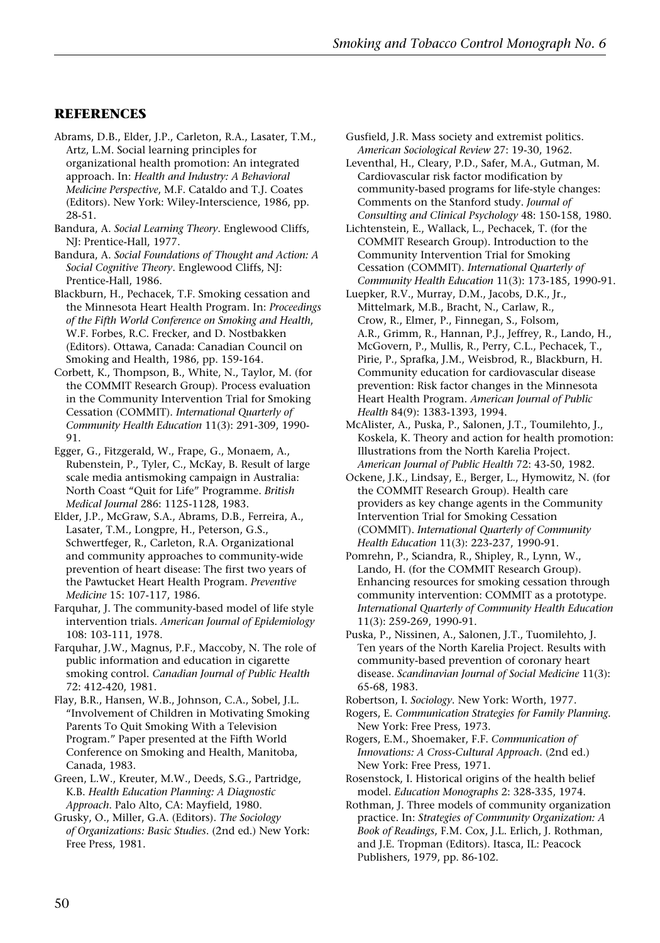## **REFERENCES**

Abrams, D.B., Elder, J.P., Carleton, R.A., Lasater, T.M., Artz, L.M. Social learning principles for organizational health promotion: An integrated approach. In: *Health and Industry: A Behavioral Medicine Perspective*, M.F. Cataldo and T.J. Coates (Editors). New York: Wiley-Interscience, 1986, pp. 28-51.

Bandura, A. *Social Learning Theory*. Englewood Cliffs, NJ: Prentice-Hall, 1977.

Bandura, A. *Social Foundations of Thought and Action: A Social Cognitive Theory*. Englewood Cliffs, NJ: Prentice-Hall, 1986.

Blackburn, H., Pechacek, T.F. Smoking cessation and the Minnesota Heart Health Program. In: *Proceedings of the Fifth World Conference on Smoking and Health*, W.F. Forbes, R.C. Frecker, and D. Nostbakken (Editors). Ottawa, Canada: Canadian Council on Smoking and Health, 1986, pp. 159-164.

Corbett, K., Thompson, B., White, N., Taylor, M. (for the COMMIT Research Group). Process evaluation in the Community Intervention Trial for Smoking Cessation (COMMIT). *International Quarterly of Community Health Education* 11(3): 291-309, 1990- 91.

Egger, G., Fitzgerald, W., Frape, G., Monaem, A., Rubenstein, P., Tyler, C., McKay, B. Result of large scale media antismoking campaign in Australia: North Coast "Quit for Life" Programme. *British Medical Journal* 286: 1125-1128, 1983.

Elder, J.P., McGraw, S.A., Abrams, D.B., Ferreira, A., Lasater, T.M., Longpre, H., Peterson, G.S., Schwertfeger, R., Carleton, R.A. Organizational and community approaches to community-wide prevention of heart disease: The first two years of the Pawtucket Heart Health Program. *Preventive Medicine* 15: 107-117, 1986.

Farquhar, J. The community-based model of life style intervention trials. *American Journal of Epidemiology* 108: 103-111, 1978.

Farquhar, J.W., Magnus, P.F., Maccoby, N. The role of public information and education in cigarette smoking control. *Canadian Journal of Public Health* 72: 412-420, 1981.

Flay, B.R., Hansen, W.B., Johnson, C.A., Sobel, J.L. "Involvement of Children in Motivating Smoking Parents To Quit Smoking With a Television Program." Paper presented at the Fifth World Conference on Smoking and Health, Manitoba, Canada, 1983.

Green, L.W., Kreuter, M.W., Deeds, S.G., Partridge, K.B. *Health Education Planning: A Diagnostic Approach*. Palo Alto, CA: Mayfield, 1980.

Grusky, O., Miller, G.A. (Editors). *The Sociology of Organizations: Basic Studies*. (2nd ed.) New York: Free Press, 1981.

Gusfield, J.R. Mass society and extremist politics. *American Sociological Review* 27: 19-30, 1962.

Leventhal, H., Cleary, P.D., Safer, M.A., Gutman, M. Cardiovascular risk factor modification by community-based programs for life-style changes: Comments on the Stanford study. *Journal of Consulting and Clinical Psychology* 48: 150-158, 1980.

Lichtenstein, E., Wallack, L., Pechacek, T. (for the COMMIT Research Group). Introduction to the Community Intervention Trial for Smoking Cessation (COMMIT). *International Quarterly of Community Health Education* 11(3): 173-185, 1990-91.

- Luepker, R.V., Murray, D.M., Jacobs, D.K., Jr., Mittelmark, M.B., Bracht, N., Carlaw, R., Crow, R., Elmer, P., Finnegan, S., Folsom, A.R., Grimm, R., Hannan, P.J., Jeffrey, R., Lando, H., McGovern, P., Mullis, R., Perry, C.L., Pechacek, T., Pirie, P., Sprafka, J.M., Weisbrod, R., Blackburn, H. Community education for cardiovascular disease prevention: Risk factor changes in the Minnesota Heart Health Program. *American Journal of Public Health* 84(9): 1383-1393, 1994.
- McAlister, A., Puska, P., Salonen, J.T., Toumilehto, J., Koskela, K. Theory and action for health promotion: Illustrations from the North Karelia Project. *American Journal of Public Health* 72: 43-50, 1982.

Ockene, J.K., Lindsay, E., Berger, L., Hymowitz, N. (for the COMMIT Research Group). Health care providers as key change agents in the Community Intervention Trial for Smoking Cessation (COMMIT). *International Quarterly of Community Health Education* 11(3): 223-237, 1990-91.

Pomrehn, P., Sciandra, R., Shipley, R., Lynn, W., Lando, H. (for the COMMIT Research Group). Enhancing resources for smoking cessation through community intervention: COMMIT as a prototype. *International Quarterly of Community Health Education* 11(3): 259-269, 1990-91.

Puska, P., Nissinen, A., Salonen, J.T., Tuomilehto, J. Ten years of the North Karelia Project. Results with community-based prevention of coronary heart disease. *Scandinavian Journal of Social Medicine* 11(3): 65-68, 1983.

Robertson, I. *Sociology*. New York: Worth, 1977.

Rogers, E. *Communication Strategies for Family Planning*. New York: Free Press, 1973.

- Rogers, E.M., Shoemaker, F.F. *Communication of Innovations: A Cross-Cultural Approach*. (2nd ed.) New York: Free Press, 1971.
- Rosenstock, I. Historical origins of the health belief model. *Education Monographs* 2: 328-335, 1974.

Rothman, J. Three models of community organization practice. In: *Strategies of Community Organization: A Book of Readings*, F.M. Cox, J.L. Erlich, J. Rothman, and J.E. Tropman (Editors). Itasca, IL: Peacock Publishers, 1979, pp. 86-102.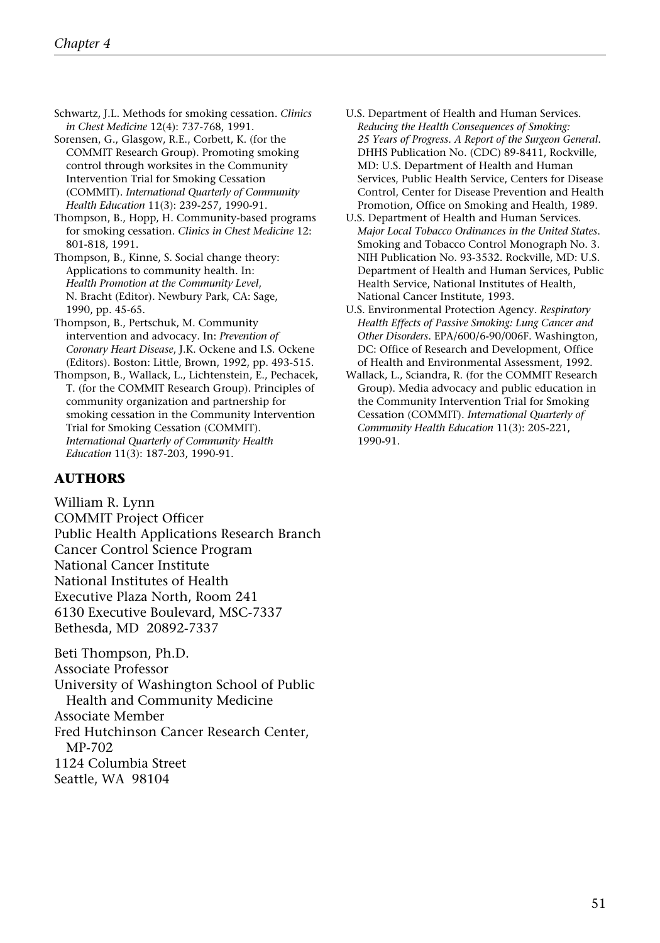Schwartz, J.L. Methods for smoking cessation. *Clinics in Chest Medicine* 12(4): 737-768, 1991.

Sorensen, G., Glasgow, R.E., Corbett, K. (for the COMMIT Research Group). Promoting smoking control through worksites in the Community Intervention Trial for Smoking Cessation (COMMIT). *International Quarterly of Community Health Education* 11(3): 239-257, 1990-91.

Thompson, B., Hopp, H. Community-based programs for smoking cessation. *Clinics in Chest Medicine* 12: 801-818, 1991.

Thompson, B., Kinne, S. Social change theory: Applications to community health. In: *Health Promotion at the Community Level*, N. Bracht (Editor). Newbury Park, CA: Sage, 1990, pp. 45-65.

Thompson, B., Pertschuk, M. Community intervention and advocacy. In: *Prevention of Coronary Heart Disease*, J.K. Ockene and I.S. Ockene (Editors). Boston: Little, Brown, 1992, pp. 493-515.

Thompson, B., Wallack, L., Lichtenstein, E., Pechacek, T. (for the COMMIT Research Group). Principles of community organization and partnership for smoking cessation in the Community Intervention Trial for Smoking Cessation (COMMIT). *International Quarterly of Community Health Education* 11(3): 187-203, 1990-91.

## **AUTHORS**

William R. Lynn COMMIT Project Officer Public Health Applications Research Branch Cancer Control Science Program National Cancer Institute National Institutes of Health Executive Plaza North, Room 241 6130 Executive Boulevard, MSC-7337 Bethesda, MD 20892-7337

Beti Thompson, Ph.D. Associate Professor University of Washington School of Public Health and Community Medicine Associate Member Fred Hutchinson Cancer Research Center, MP-702 1124 Columbia Street Seattle, WA 98104

- U.S. Department of Health and Human Services. *Reducing the Health Consequences of Smoking: 25 Years of Progress. A Report of the Surgeon General*. DHHS Publication No. (CDC) 89-8411, Rockville, MD: U.S. Department of Health and Human Services, Public Health Service, Centers for Disease Control, Center for Disease Prevention and Health Promotion, Office on Smoking and Health, 1989.
- U.S. Department of Health and Human Services. *Major Local Tobacco Ordinances in the United States*. Smoking and Tobacco Control Monograph No. 3. NIH Publication No. 93-3532. Rockville, MD: U.S. Department of Health and Human Services, Public Health Service, National Institutes of Health, National Cancer Institute, 1993.
- U.S. Environmental Protection Agency. *Respiratory Health Effects of Passive Smoking: Lung Cancer and Other Disorders*. EPA/600/6-90/006F. Washington, DC: Office of Research and Development, Office of Health and Environmental Assessment, 1992.
- Wallack, L., Sciandra, R. (for the COMMIT Research Group). Media advocacy and public education in the Community Intervention Trial for Smoking Cessation (COMMIT). *International Quarterly of Community Health Education* 11(3): 205-221, 1990-91.